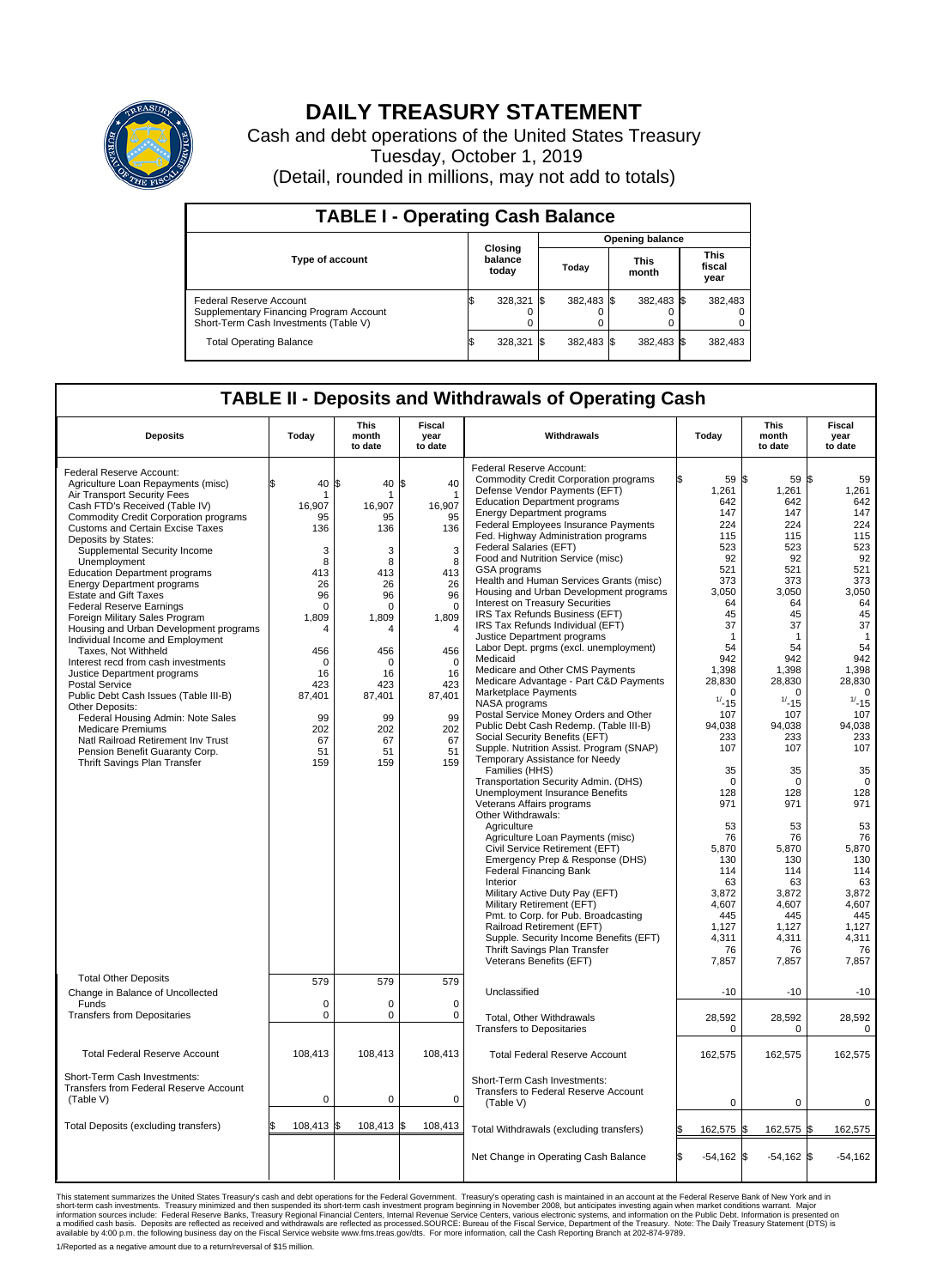

## **DAILY TREASURY STATEMENT**

Cash and debt operations of the United States Treasury Tuesday, October 1, 2019 (Detail, rounded in millions, may not add to totals)

| <b>TABLE I - Operating Cash Balance</b>                                                                     |  |                             |                        |            |  |                      |  |                               |  |  |
|-------------------------------------------------------------------------------------------------------------|--|-----------------------------|------------------------|------------|--|----------------------|--|-------------------------------|--|--|
|                                                                                                             |  |                             | <b>Opening balance</b> |            |  |                      |  |                               |  |  |
| <b>Type of account</b>                                                                                      |  | Closing<br>balance<br>today |                        | Today      |  | <b>This</b><br>month |  | <b>This</b><br>fiscal<br>year |  |  |
| Federal Reserve Account<br>Supplementary Financing Program Account<br>Short-Term Cash Investments (Table V) |  | 328,321 \$                  |                        | 382.483 \$ |  | 382,483 \$           |  | 382,483                       |  |  |
| <b>Total Operating Balance</b>                                                                              |  | 328,321                     |                        | 382.483 \$ |  | 382,483 \$           |  | 382,483                       |  |  |

## **TABLE II - Deposits and Withdrawals of Operating Cash**

| <b>Deposits</b>                                                                                                                                                                                                                                                                                                                                                                                                                                                                                                                                                                                                                                                                                                                                                                                                                                                                                                | Today                                                                                                                                                            | <b>This</b><br>month<br>to date                                                                                                                                      | Fiscal<br>year<br>to date                                                                                                                                                               | Withdrawals                                                                                                                                                                                                                                                                                                                                                                                                                                                                                                                                                                                                                                                                                                                                                                                                                                                                                                                                                                                                                                                                                                                                                                                                                                                                                                                                                                                                                                                                                                                    | Today                                                                                                                                                                                                                                                                                                                                | <b>This</b><br>month<br>to date                                                                                                                                                                                                                                                                                                            | Fiscal<br>year<br>to date                                                                                                                                                                                                                                                                                                                         |
|----------------------------------------------------------------------------------------------------------------------------------------------------------------------------------------------------------------------------------------------------------------------------------------------------------------------------------------------------------------------------------------------------------------------------------------------------------------------------------------------------------------------------------------------------------------------------------------------------------------------------------------------------------------------------------------------------------------------------------------------------------------------------------------------------------------------------------------------------------------------------------------------------------------|------------------------------------------------------------------------------------------------------------------------------------------------------------------|----------------------------------------------------------------------------------------------------------------------------------------------------------------------|-----------------------------------------------------------------------------------------------------------------------------------------------------------------------------------------|--------------------------------------------------------------------------------------------------------------------------------------------------------------------------------------------------------------------------------------------------------------------------------------------------------------------------------------------------------------------------------------------------------------------------------------------------------------------------------------------------------------------------------------------------------------------------------------------------------------------------------------------------------------------------------------------------------------------------------------------------------------------------------------------------------------------------------------------------------------------------------------------------------------------------------------------------------------------------------------------------------------------------------------------------------------------------------------------------------------------------------------------------------------------------------------------------------------------------------------------------------------------------------------------------------------------------------------------------------------------------------------------------------------------------------------------------------------------------------------------------------------------------------|--------------------------------------------------------------------------------------------------------------------------------------------------------------------------------------------------------------------------------------------------------------------------------------------------------------------------------------|--------------------------------------------------------------------------------------------------------------------------------------------------------------------------------------------------------------------------------------------------------------------------------------------------------------------------------------------|---------------------------------------------------------------------------------------------------------------------------------------------------------------------------------------------------------------------------------------------------------------------------------------------------------------------------------------------------|
| Federal Reserve Account:<br>Agriculture Loan Repayments (misc)<br>Air Transport Security Fees<br>Cash FTD's Received (Table IV)<br>Commodity Credit Corporation programs<br><b>Customs and Certain Excise Taxes</b><br>Deposits by States:<br>Supplemental Security Income<br>Unemployment<br><b>Education Department programs</b><br><b>Energy Department programs</b><br><b>Estate and Gift Taxes</b><br><b>Federal Reserve Earnings</b><br>Foreign Military Sales Program<br>Housing and Urban Development programs<br>Individual Income and Employment<br>Taxes, Not Withheld<br>Interest recd from cash investments<br>Justice Department programs<br>Postal Service<br>Public Debt Cash Issues (Table III-B)<br>Other Deposits:<br>Federal Housing Admin: Note Sales<br><b>Medicare Premiums</b><br>Natl Railroad Retirement Inv Trust<br>Pension Benefit Guaranty Corp.<br>Thrift Savings Plan Transfer | \$<br>40<br>16.907<br>95<br>136<br>3<br>8<br>413<br>26<br>96<br>$\Omega$<br>1,809<br>4<br>456<br>$\Omega$<br>16<br>423<br>87,401<br>99<br>202<br>67<br>51<br>159 | 40 \$<br>l\$<br>16.907<br>95<br>136<br>3<br>8<br>413<br>26<br>96<br>$\Omega$<br>1,809<br>4<br>456<br>$\Omega$<br>16<br>423<br>87,401<br>99<br>202<br>67<br>51<br>159 | 40<br>$\mathbf{1}$<br>16,907<br>95<br>136<br>3<br>8<br>413<br>26<br>96<br>$\Omega$<br>1,809<br>$\overline{4}$<br>456<br>$\Omega$<br>16<br>423<br>87,401<br>99<br>202<br>67<br>51<br>159 | Federal Reserve Account:<br><b>Commodity Credit Corporation programs</b><br>Defense Vendor Payments (EFT)<br><b>Education Department programs</b><br><b>Energy Department programs</b><br>Federal Employees Insurance Payments<br>Fed. Highway Administration programs<br>Federal Salaries (EFT)<br>Food and Nutrition Service (misc)<br>GSA programs<br>Health and Human Services Grants (misc)<br>Housing and Urban Development programs<br>Interest on Treasury Securities<br>IRS Tax Refunds Business (EFT)<br>IRS Tax Refunds Individual (EFT)<br>Justice Department programs<br>Labor Dept. prgms (excl. unemployment)<br>Medicaid<br>Medicare and Other CMS Payments<br>Medicare Advantage - Part C&D Payments<br>Marketplace Payments<br>NASA programs<br>Postal Service Money Orders and Other<br>Public Debt Cash Redemp. (Table III-B)<br>Social Security Benefits (EFT)<br>Supple. Nutrition Assist. Program (SNAP)<br>Temporary Assistance for Needy<br>Families (HHS)<br>Transportation Security Admin. (DHS)<br>Unemployment Insurance Benefits<br>Veterans Affairs programs<br>Other Withdrawals:<br>Agriculture<br>Agriculture Loan Payments (misc)<br>Civil Service Retirement (EFT)<br>Emergency Prep & Response (DHS)<br><b>Federal Financing Bank</b><br>Interior<br>Military Active Duty Pay (EFT)<br>Military Retirement (EFT)<br>Pmt. to Corp. for Pub. Broadcasting<br>Railroad Retirement (EFT)<br>Supple. Security Income Benefits (EFT)<br>Thrift Savings Plan Transfer<br>Veterans Benefits (EFT) | 59 \$<br>1,261<br>642<br>147<br>224<br>115<br>523<br>92<br>521<br>373<br>3,050<br>64<br>45<br>37<br>-1<br>54<br>942<br>1,398<br>28,830<br>$\Omega$<br>$1/ - 15$<br>107<br>94,038<br>233<br>107<br>35<br>$\mathbf 0$<br>128<br>971<br>53<br>76<br>5.870<br>130<br>114<br>63<br>3,872<br>4,607<br>445<br>1,127<br>4,311<br>76<br>7,857 | 59<br>1,261<br>642<br>147<br>224<br>115<br>523<br>92<br>521<br>373<br>3,050<br>64<br>45<br>37<br>$\mathbf 1$<br>54<br>942<br>1,398<br>28,830<br>$\Omega$<br>$1/ - 15$<br>107<br>94,038<br>233<br>107<br>35<br>$\mathbf 0$<br>128<br>971<br>53<br>76<br>5.870<br>130<br>114<br>63<br>3,872<br>4,607<br>445<br>1,127<br>4,311<br>76<br>7,857 | l\$<br>59<br>1,261<br>642<br>147<br>224<br>115<br>523<br>92<br>521<br>373<br>3,050<br>64<br>45<br>37<br>$\overline{1}$<br>54<br>942<br>1,398<br>28,830<br>$\Omega$<br>$1/ - 15$<br>107<br>94,038<br>233<br>107<br>35<br>$\Omega$<br>128<br>971<br>53<br>76<br>5,870<br>130<br>114<br>63<br>3,872<br>4,607<br>445<br>1,127<br>4,311<br>76<br>7,857 |
| <b>Total Other Deposits</b><br>Change in Balance of Uncollected                                                                                                                                                                                                                                                                                                                                                                                                                                                                                                                                                                                                                                                                                                                                                                                                                                                | 579                                                                                                                                                              | 579                                                                                                                                                                  | 579                                                                                                                                                                                     | Unclassified                                                                                                                                                                                                                                                                                                                                                                                                                                                                                                                                                                                                                                                                                                                                                                                                                                                                                                                                                                                                                                                                                                                                                                                                                                                                                                                                                                                                                                                                                                                   | $-10$                                                                                                                                                                                                                                                                                                                                | $-10$                                                                                                                                                                                                                                                                                                                                      | $-10$                                                                                                                                                                                                                                                                                                                                             |
| Funds<br><b>Transfers from Depositaries</b>                                                                                                                                                                                                                                                                                                                                                                                                                                                                                                                                                                                                                                                                                                                                                                                                                                                                    | $\mathbf 0$<br>$\mathbf 0$                                                                                                                                       | 0<br>$\pmb{0}$                                                                                                                                                       | $\Omega$<br>0                                                                                                                                                                           |                                                                                                                                                                                                                                                                                                                                                                                                                                                                                                                                                                                                                                                                                                                                                                                                                                                                                                                                                                                                                                                                                                                                                                                                                                                                                                                                                                                                                                                                                                                                |                                                                                                                                                                                                                                                                                                                                      |                                                                                                                                                                                                                                                                                                                                            |                                                                                                                                                                                                                                                                                                                                                   |
|                                                                                                                                                                                                                                                                                                                                                                                                                                                                                                                                                                                                                                                                                                                                                                                                                                                                                                                |                                                                                                                                                                  |                                                                                                                                                                      |                                                                                                                                                                                         | Total, Other Withdrawals<br><b>Transfers to Depositaries</b>                                                                                                                                                                                                                                                                                                                                                                                                                                                                                                                                                                                                                                                                                                                                                                                                                                                                                                                                                                                                                                                                                                                                                                                                                                                                                                                                                                                                                                                                   | 28,592<br>$\mathbf 0$                                                                                                                                                                                                                                                                                                                | 28,592<br>$\mathbf 0$                                                                                                                                                                                                                                                                                                                      | 28,592<br>$\mathbf 0$                                                                                                                                                                                                                                                                                                                             |
| <b>Total Federal Reserve Account</b>                                                                                                                                                                                                                                                                                                                                                                                                                                                                                                                                                                                                                                                                                                                                                                                                                                                                           | 108,413                                                                                                                                                          | 108,413                                                                                                                                                              | 108,413                                                                                                                                                                                 | <b>Total Federal Reserve Account</b>                                                                                                                                                                                                                                                                                                                                                                                                                                                                                                                                                                                                                                                                                                                                                                                                                                                                                                                                                                                                                                                                                                                                                                                                                                                                                                                                                                                                                                                                                           | 162,575                                                                                                                                                                                                                                                                                                                              | 162,575                                                                                                                                                                                                                                                                                                                                    | 162,575                                                                                                                                                                                                                                                                                                                                           |
| Short-Term Cash Investments:<br><b>Transfers from Federal Reserve Account</b><br>(Table V)                                                                                                                                                                                                                                                                                                                                                                                                                                                                                                                                                                                                                                                                                                                                                                                                                     | 0                                                                                                                                                                | $\pmb{0}$                                                                                                                                                            | 0                                                                                                                                                                                       | Short-Term Cash Investments:<br>Transfers to Federal Reserve Account<br>(Table V)                                                                                                                                                                                                                                                                                                                                                                                                                                                                                                                                                                                                                                                                                                                                                                                                                                                                                                                                                                                                                                                                                                                                                                                                                                                                                                                                                                                                                                              | $\mathbf 0$                                                                                                                                                                                                                                                                                                                          | 0                                                                                                                                                                                                                                                                                                                                          | 0                                                                                                                                                                                                                                                                                                                                                 |
| Total Deposits (excluding transfers)                                                                                                                                                                                                                                                                                                                                                                                                                                                                                                                                                                                                                                                                                                                                                                                                                                                                           | \$<br>$108,413$ \$                                                                                                                                               | 108,413 \$                                                                                                                                                           | 108,413                                                                                                                                                                                 | Total Withdrawals (excluding transfers)                                                                                                                                                                                                                                                                                                                                                                                                                                                                                                                                                                                                                                                                                                                                                                                                                                                                                                                                                                                                                                                                                                                                                                                                                                                                                                                                                                                                                                                                                        | 162,575                                                                                                                                                                                                                                                                                                                              | l\$<br>162,575 \$                                                                                                                                                                                                                                                                                                                          | 162,575                                                                                                                                                                                                                                                                                                                                           |
|                                                                                                                                                                                                                                                                                                                                                                                                                                                                                                                                                                                                                                                                                                                                                                                                                                                                                                                |                                                                                                                                                                  |                                                                                                                                                                      |                                                                                                                                                                                         | Net Change in Operating Cash Balance                                                                                                                                                                                                                                                                                                                                                                                                                                                                                                                                                                                                                                                                                                                                                                                                                                                                                                                                                                                                                                                                                                                                                                                                                                                                                                                                                                                                                                                                                           | l\$<br>$-54,162$ \$                                                                                                                                                                                                                                                                                                                  | $-54,162$ \$                                                                                                                                                                                                                                                                                                                               | $-54,162$                                                                                                                                                                                                                                                                                                                                         |

This statement summarizes the United States Treasury's cash and debt operations for the Federal Government. Treasury soperating in November 2008, but anticiarded in a cocount at the Federal Reserve Bank of New York and in<br>

1/Reported as a negative amount due to a return/reversal of \$15 million.